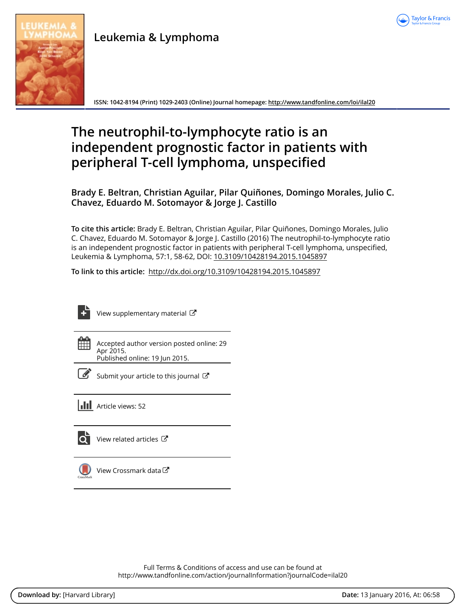

**Leukemia & Lymphoma**

**ISSN: 1042-8194 (Print) 1029-2403 (Online) Journal homepage:<http://www.tandfonline.com/loi/ilal20>**

# **The neutrophil-to-lymphocyte ratio is an independent prognostic factor in patients with peripheral T-cell lymphoma, unspecified**

**Brady E. Beltran, Christian Aguilar, Pilar Quiñones, Domingo Morales, Julio C. Chavez, Eduardo M. Sotomayor & Jorge J. Castillo**

**To cite this article:** Brady E. Beltran, Christian Aguilar, Pilar Quiñones, Domingo Morales, Julio C. Chavez, Eduardo M. Sotomayor & Jorge J. Castillo (2016) The neutrophil-to-lymphocyte ratio is an independent prognostic factor in patients with peripheral T-cell lymphoma, unspecified, Leukemia & Lymphoma, 57:1, 58-62, DOI: [10.3109/10428194.2015.1045897](http://www.tandfonline.com/action/showCitFormats?doi=10.3109/10428194.2015.1045897)

**To link to this article:** <http://dx.doi.org/10.3109/10428194.2015.1045897>



[View supplementary material](http://www.tandfonline.com/doi/suppl/10.3109/10428194.2015.1045897)  $\mathbb{Z}$ 

Accepted author version posted online: 29 Apr 2015. Published online: 19 Jun 2015.



 $\overline{\mathscr{L}}$  [Submit your article to this journal](http://www.tandfonline.com/action/authorSubmission?journalCode=ilal20&page=instructions)  $\mathbb{F}$ 

**III** Article views: 52

 $\overline{Q}$  [View related articles](http://www.tandfonline.com/doi/mlt/10.3109/10428194.2015.1045897)  $\overline{C}$ 



[View Crossmark data](http://crossmark.crossref.org/dialog/?doi=10.3109/10428194.2015.1045897&domain=pdf&date_stamp=2015-04-29)<sup>C</sup>

Full Terms & Conditions of access and use can be found at <http://www.tandfonline.com/action/journalInformation?journalCode=ilal20>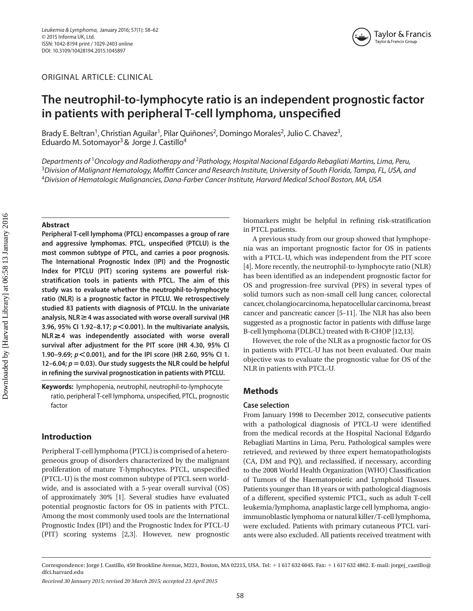ORIGINAL ARTICLE: CLINICAL



## **The neutrophil-to-lymphocyte ratio is an independent prognostic factor in patients with peripheral T-cell lymphoma, unspecified**

Brady E. Beltran<sup>1</sup>, Christian Aguilar<sup>1</sup>, Pilar Quiñones<sup>2</sup>, Domingo Morales<sup>2</sup>, Julio C. Chavez<sup>3</sup>, Eduardo M. Sotomayor<sup>3</sup> & Jorge J. Castillo<sup>4</sup>

*Departments of* <sup>1</sup>*Oncology and Radiotherapy and* <sup>2</sup>*Pathology, Hospital Nacional Edgardo Rebagliati Martins, Lima, Peru,*  <sup>3</sup>*Division of Malignant Hematology, Moffitt Cancer and Research Institute, University of South Florida, Tampa, FL, USA, and*  <sup>4</sup>*Division of Hematologic Malignancies, Dana-Farber Cancer Institute, Harvard Medical School Boston, MA, USA*

#### **Abstract**

**Peripheral T-cell lymphoma (PTCL) encompasses a group of rare and aggressive lymphomas. PTCL, unspecified (PTCLU) is the most common subtype of PTCL, and carries a poor prognosis. The International Prognostic Index (IPI) and the Prognostic Index for PTCLU (PIT) scoring systems are powerful riskstratification tools in patients with PTCL. The aim of this study was to evaluate whether the neutrophil-to-lymphocyte ratio (NLR) is a prognostic factor in PTCLU. We retrospectively studied 83 patients with diagnosis of PTCLU. In the univariate analysis, NLR4 was associated with worse overall survival (HR 3.96, 95% CI 1.92–8.17;** *p***0.001). In the multivariate analysis, NLR4 was independently associated with worse overall survival after adjustment for the PIT score (HR 4.30, 95% CI 1.90–9.69;** *p***0.001), and for the IPI score (HR 2.60, 95% CI 1.** 12–6.04;  $p = 0.03$ ). Our study suggests the NLR could be helpful **in refining the survival prognostication in patients with PTCLU.**

**Keywords:** lymphopenia, neutrophil, neutrophil-to-lymphocyte ratio, peripheral T-cell lymphoma, unspecified, PTCL, prognostic factor

### **Introduction**

Peripheral T-cell lymphoma (PTCL) is comprised of a heterogeneous group of disorders characterized by the malignant proliferation of mature T-lymphocytes. PTCL, unspecified (PTCL-U) is the most common subtype of PTCL seen worldwide, and is associated with a 5-year overall survival (OS) of approximately 30% [1]. Several studies have evaluated potential prognostic factors for OS in patients with PTCL. Among the most commonly used tools are the International Prognostic Index (IPI) and the Prognostic Index for PTCL-U (PIT) scoring systems [2,3]. However, new prognostic biomarkers might be helpful in refining risk-stratification in PTCL patients.

A previous study from our group showed that lymphopenia was an important prognostic factor for OS in patients with a PTCL-U, which was independent from the PIT score [4]. More recently, the neutrophil-to-lymphocyte ratio (NLR) has been identified as an independent prognostic factor for OS and progression-free survival (PFS) in several types of solid tumors such as non-small cell lung cancer, colorectal cancer, cholangiocarcinoma, hepatocellular carcinoma, breast cancer and pancreatic cancer [5–11]. The NLR has also been suggested as a prognostic factor in patients with diffuse large B-cell lymphoma (DLBCL) treated with R-CHOP [12,13].

However, the role of the NLR as a prognostic factor for OS in patients with PTCL-U has not been evaluated. Our main objective was to evaluate the prognostic value for OS of the NLR in patients with PTCL-U.

#### **Methods**

#### **Case selection**

From January 1998 to December 2012, consecutive patients with a pathological diagnosis of PTCL-U were identified from the medical records at the Hospital Nacional Edgardo Rebagliati Martins in Lima, Peru. Pathological samples were retrieved, and reviewed by three expert hematopathologists (CA, DM and PQ), and reclassified, if necessary, according to the 2008 World Health Organization (WHO) Classification of Tumors of the Haematopoietic and Lymphoid Tissues. Patients younger than 18 years or with pathological diagnosis of a different, specified systemic PTCL, such as adult T-cell leukemia/lymphoma, anaplastic large cell lymphoma, angioimmunoblastic lymphoma or natural killer/T-cell lymphoma, were excluded. Patients with primary cutaneous PTCL variants were also excluded. All patients received treatment with

Correspondence: Jorge J. Castillo, 450 Brookline Avenue, M221, Boston, MA 02215, USA. Tel: +1 617 632 6045. Fax: +1 617 632 4862. E-mail: jorgej\_castillo@ dfci.harvard.edu

*Received 30 January 2015; revised 20 March 2015; accepted 23 April 2015*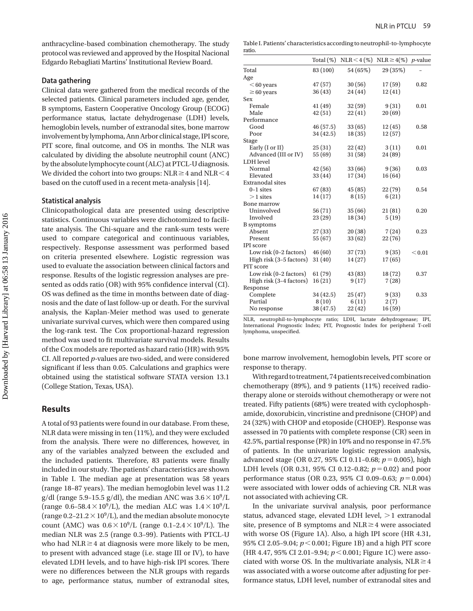anthracycline-based combination chemotherapy. The study protocol was reviewed and approved by the Hospital Nacional Edgardo Rebagliati Martins' Institutional Review Board.

#### **Data gathering**

Clinical data were gathered from the medical records of the selected patients. Clinical parameters included age, gender, B symptoms, Eastern Cooperative Oncology Group (ECOG) performance status, lactate dehydrogenase (LDH) levels, hemoglobin levels, number of extranodal sites, bone marrow involvement by lymphoma, Ann Arbor clinical stage, IPI score, PIT score, final outcome, and OS in months. The NLR was calculated by dividing the absolute neutrophil count (ANC) by the absolute lymphocyte count (ALC) at PTCL-U diagnosis. We divided the cohort into two groups:  $NLR \geq 4$  and  $NLR \leq 4$ based on the cutoff used in a recent meta-analysis [14].

#### **Statistical analysis**

Clinicopathological data are presented using descriptive statistics. Continuous variables were dichotomized to facilitate analysis. The Chi-square and the rank-sum tests were used to compare categorical and continuous variables, respectively. Response assessment was performed based on criteria presented elsewhere. Logistic regression was used to evaluate the association between clinical factors and response. Results of the logistic regression analyses are presented as odds ratio (OR) with 95% confidence interval (CI). OS was defined as the time in months between date of diagnosis and the date of last follow-up or death. For the survival analysis, the Kaplan-Meier method was used to generate univariate survival curves, which were then compared using the log-rank test. The Cox proportional-hazard regression method was used to fit multivariate survival models. Results of the Cox models are reported as hazard ratio (HR) with 95% CI. All reported *p*-values are two-sided, and were considered significant if less than 0.05. Calculations and graphics were obtained using the statistical software STATA version 13.1 (College Station, Texas, USA).

#### **Results**

A total of 93 patients were found in our database. From these, NLR data were missing in ten (11%), and they were excluded from the analysis. There were no differences, however, in any of the variables analyzed between the excluded and the included patients. Therefore, 83 patients were finally included in our study. The patients' characteristics are shown in Table I. The median age at presentation was 58 years (range 18–87 years). The median hemoglobin level was 11.2 g/dl (range 5.9-15.5 g/dl), the median ANC was  $3.6\times10^9$ /L (range  $0.6-58.4\times10^9$ /L), the median ALC was  $1.4\times10^9$ /L (range 0.2–21.2  $\times$  10<sup>9</sup>/L), and the median absolute monocyte count (AMC) was  $0.6 \times 10^9$ /L (range 0.1–2.4 $\times 10^9$ /L). The median NLR was 2.5 (range 0.3–99). Patients with PTCL-U who had  $NLR \geq 4$  at diagnosis were more likely to be men, to present with advanced stage (i.e. stage III or IV), to have elevated LDH levels, and to have high-risk IPI scores. There were no differences between the NLR groups with regards to age, performance status, number of extranodal sites,

|        | Table I. Patients' characteristics according to neutrophil-to-lymphocyte |
|--------|--------------------------------------------------------------------------|
| ratio. |                                                                          |

|                          |           | Total (%) NLR < 4 (%) NLR $\geq 4$ (%) p-value |          |        |
|--------------------------|-----------|------------------------------------------------|----------|--------|
| Total                    | 83 (100)  | 54 (65%)                                       | 29 (35%) |        |
| Age                      |           |                                                |          |        |
| $< 60$ years             | 47(57)    | 30(56)                                         | 17(59)   | 0.82   |
| $\geq 60$ years          | 36(43)    | 24 (44)                                        | 12(41)   |        |
| Sex                      |           |                                                |          |        |
| Female                   | 41(49)    | 32(59)                                         | 9(31)    | 0.01   |
| Male                     | 42(51)    | 22(41)                                         | 20(69)   |        |
| Performance              |           |                                                |          |        |
| Good                     | 46(57.5)  | 33(65)                                         | 12(45)   | 0.58   |
| Poor                     | 34 (42.5) | 18(35)                                         | 12(57)   |        |
| Stage                    |           |                                                |          |        |
| Early (I or II)          | 25(31)    | 22(42)                                         | 3(11)    | 0.01   |
| Advanced (III or IV)     | 55 (69)   | 31(58)                                         | 24(89)   |        |
| LDH level                |           |                                                |          |        |
| Normal                   | 42(56)    | 33(66)                                         | 9(36)    | 0.03   |
| Elevated                 | 33(44)    | 17(34)                                         | 16(64)   |        |
| <b>Extranodal</b> sites  |           |                                                |          |        |
| $0-1$ sites              | 67 (83)   | 45(85)                                         | 22(79)   | 0.54   |
| $>1$ sites               | 14(17)    | 8(15)                                          | 6(21)    |        |
| Bone marrow              |           |                                                |          |        |
| Uninvolved               | 56(71)    | 35(66)                                         | 21(81)   | 0.20   |
| Involved                 | 23(29)    | 18 (34)                                        | 5(19)    |        |
| <b>B</b> symptoms        |           |                                                |          |        |
| Absent                   | 27(33)    | 20(38)                                         | 7(24)    | 0.23   |
| Present                  | 55 (67)   | 33(62)                                         | 22(76)   |        |
| IPI score                |           |                                                |          |        |
| Low risk $(0-2$ factors) | 46(60)    | 37(73)                                         | 9(35)    | < 0.01 |
| High risk (3-5 factors)  | 31(40)    | 14 (27)                                        | 17(65)   |        |
| PIT score                |           |                                                |          |        |
| Low risk $(0-2$ factors) | 61(79)    | 43 (83)                                        | 18(72)   | 0.37   |
| High risk (3-4 factors)  | 16(21)    | 9(17)                                          | 7(28)    |        |
| Response                 |           |                                                |          |        |
| Complete                 | 34 (42.5) | 25(47)                                         | 9(33)    | 0.33   |
| Partial                  | 8(10)     | 6(11)                                          | 2(7)     |        |
| No response              | 38 (47.5) | 22(42)                                         | 16(59)   |        |
|                          |           |                                                |          |        |

NLR, neutrophil-to-lymphocyte ratio; LDH, lactate dehydrogenase; IPI, International Prognostic Index; PIT, Prognostic Index for peripheral T-cell lymphoma, unspecified.

bone marrow involvement, hemoglobin levels, PIT score or response to therapy.

With regard to treatment, 74 patients received combination chemotherapy (89%), and 9 patients (11%) received radiotherapy alone or steroids without chemotherapy or were not treated. Fifty patients (68%) were treated with cyclophosphamide, doxorubicin, vincristine and prednisone (CHOP) and 24 (32%) with CHOP and etoposide (CHOEP). Response was assessed in 70 patients with complete response (CR) seen in 42.5%, partial response (PR) in 10% and no response in 47.5% of patients. In the univariate logistic regression analysis, advanced stage (OR 0.27, 95% CI 0.11-0.68;  $p = 0.005$ ), high LDH levels (OR 0.31, 95% CI 0.12-0.82;  $p = 0.02$ ) and poor performance status (OR 0.23, 95% CI 0.09-0.63;  $p = 0.004$ ) were associated with lower odds of achieving CR. NLR was not associated with achieving CR.

In the univariate survival analysis, poor performance status, advanced stage, elevated LDH level,  $>1$  extranodal site, presence of B symptoms and  $NLR \geq 4$  were associated with worse OS (Figure 1A). Also, a high IPI score (HR 4.31, 95% CI 2.05-9.04;  $p < 0.001$ ; Figure 1B) and a high PIT score (HR 4.47, 95% CI 2.01-9.94;  $p < 0.001$ ; Figure 1C) were associated with worse OS. In the multivariate analysis,  $NLR \geq 4$ was associated with a worse outcome after adjusting for performance status, LDH level, number of extranodal sites and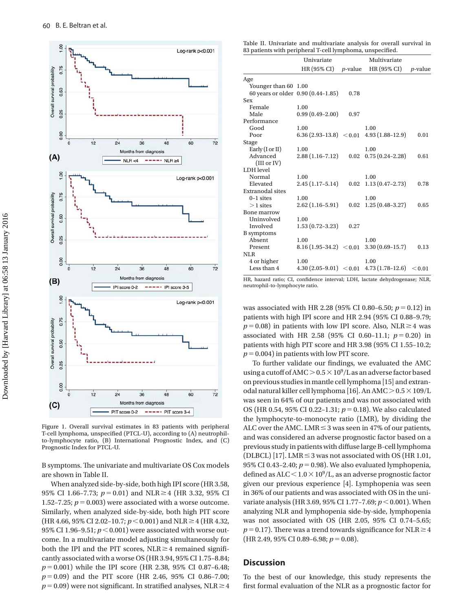

Figure 1. Overall survival estimates in 83 patients with peripheral T-cell lymphoma, unspecified (PTCL-U), according to (A) neutrophilto-lymphocyte ratio, (B) International Prognostic Index, and (C) Prognostic Index for PTCL-U.

B symptoms. The univariate and multivariate OS Cox models are shown in Table II.

When analyzed side-by-side, both high IPI score (HR 3.58, 95% CI 1.66-7.73;  $p = 0.01$ ) and NLR  $\geq 4$  (HR 3.32, 95% CI 1.52–7.25;  $p = 0.003$ ) were associated with a worse outcome. Similarly, when analyzed side-by-side, both high PIT score (HR 4.66, 95% CI 2.02-10.7;  $p < 0.001$ ) and NLR  $\geq 4$  (HR 4.32, 95% CI 1.96-9.51;  $p < 0.001$ ) were associated with worse outcome. In a multivariate model adjusting simultaneously for both the IPI and the PIT scores,  $NLR \geq 4$  remained significantly associated with a worse OS (HR 3.94, 95% CI 1.75–8.84; *p* = 0.001) while the IPI score (HR 2.38, 95% CI 0.87-6.48;  $p = 0.09$ ) and the PIT score (HR 2.46, 95% CI 0.86-7.00;  $p=0.09$ ) were not significant. In stratified analyses, NLR  $\geq$  4

Table II. Univariate and multivariate analysis for overall survival in 83 patients with peripheral T-cell lymphoma, unspecified.

|                                    | Univariate          |                 | Multivariate                                      |                 |
|------------------------------------|---------------------|-----------------|---------------------------------------------------|-----------------|
|                                    | HR (95% CI)         | <i>p</i> -value | HR (95% CI)                                       | <i>p</i> -value |
| Age                                |                     |                 |                                                   |                 |
| Younger than 60 1.00               |                     |                 |                                                   |                 |
| 60 years or older 0.90 (0.44-1.85) |                     | 0.78            |                                                   |                 |
| Sex                                |                     |                 |                                                   |                 |
| Female                             | 1.00                |                 |                                                   |                 |
| Male                               | $0.99(0.49-2.00)$   | 0.97            |                                                   |                 |
| Performance                        |                     |                 |                                                   |                 |
| Good                               | 1.00                |                 | 1.00                                              |                 |
| Poor                               |                     |                 | $6.36(2.93-13.8) < 0.01$ 4.93 $(1.88-12.9)$       | 0.01            |
| Stage                              |                     |                 |                                                   |                 |
| Early $(I \text{ or } II)$         | 1.00                |                 | 1.00                                              |                 |
| Advanced                           | $2.88(1.16 - 7.12)$ |                 | $0.02 \quad 0.75(0.24 - 2.28)$                    | 0.61            |
| (III or IV)                        |                     |                 |                                                   |                 |
| LDH level                          |                     |                 |                                                   |                 |
| Normal                             | 1.00                |                 | 1.00                                              |                 |
| Elevated                           | $2.45(1.17-5.14)$   | 0.02            | $1.13(0.47 - 2.73)$                               | 0.78            |
| <b>Extranodal sites</b>            |                     |                 |                                                   |                 |
| $0-1$ sites                        | 1.00                |                 | 1.00                                              |                 |
| $>1$ sites                         | $2.62(1.16-5.91)$   |                 | $0.02 \quad 1.25 \, (0.48 - 3.27)$                | 0.65            |
| Bone marrow                        |                     |                 |                                                   |                 |
| Uninvolved                         | 1.00                |                 |                                                   |                 |
| Involved                           | $1.53(0.72 - 3.23)$ | 0.27            |                                                   |                 |
| <b>B</b> symptoms                  |                     |                 |                                                   |                 |
| Absent                             | 1.00                |                 | 1.00                                              |                 |
| Present                            |                     |                 | $8.16(1.95-34.2) < 0.01$ $3.30(0.69-15.7)$        | 0.13            |
| NLR                                |                     |                 |                                                   |                 |
| 4 or higher                        | 1.00                |                 | 1.00                                              |                 |
| Less than 4                        |                     |                 | $4.30(2.05-9.01) < 0.01$ $4.73(1.78-12.6) < 0.01$ |                 |
|                                    |                     |                 |                                                   |                 |

HR, hazard ratio; CI, confidence interval; LDH, lactate dehydrogenase; NLR, neutrophil-to-lymphocyte ratio.

was associated with HR 2.28 (95% CI 0.80–6.50;  $p = 0.12$ ) in patients with high IPI score and HR 2.94 (95% CI 0.88–9.79;  $p = 0.08$ ) in patients with low IPI score. Also, NLR $\geq 4$  was associated with HR 2.58 (95% CI 0.60-11.1;  $p=0.20$ ) in patients with high PIT score and HR 3.98 (95% CI 1.55–10.2;  $p = 0.004$ ) in patients with low PIT score.

To further validate our findings, we evaluated the AMC using a cutoff of AMC  $>0.5\times10^9$ /L as an adverse factor based on previous studies in mantle cell lymphoma [15] and extranodal natural killer cell lymphoma [16]. An AMC  $>$  0.5  $\times$  109/L was seen in 64% of our patients and was not associated with OS (HR 0.54, 95% CI 0.22-1.31;  $p = 0.18$ ). We also calculated the lymphocyte-to-monocyte ratio (LMR), by dividing the ALC over the AMC. LMR $\leq$  3 was seen in 47% of our patients, and was considered an adverse prognostic factor based on a previous study in patients with diffuse large B-cell lymphoma (DLBCL) [17]. LMR $\leq$ 3 was not associated with OS (HR 1.01, 95% CI 0.43-2.40;  $p = 0.98$ ). We also evaluated lymphopenia, defined as ALC $<$ 1.0 $\times$ 10<sup>9</sup>/L, as an adverse prognostic factor given our previous experience [4]. Lymphopenia was seen in 36% of our patients and was associated with OS in the univariate analysis (HR 3.69, 95% CI 1.77-7.69;  $p < 0.001$ ). When analyzing NLR and lymphopenia side-by-side, lymphopenia was not associated with OS (HR 2.05, 95% CI 0.74–5.65;  $p=0.17$ ). There was a trend towards significance for NLR  $\geq 4$  $(HR 2.49, 95\% CI 0.89-6.98; p=0.08).$ 

#### **Discussion**

To the best of our knowledge, this study represents the first formal evaluation of the NLR as a prognostic factor for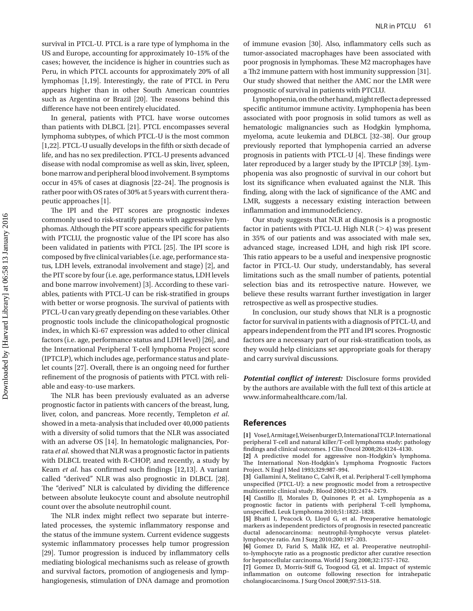survival in PTCL-U. PTCL is a rare type of lymphoma in the US and Europe, accounting for approximately 10–15% of the cases; however, the incidence is higher in countries such as Peru, in which PTCL accounts for approximately 20% of all lymphomas [1,19]. Interestingly, the rate of PTCL in Peru appears higher than in other South American countries such as Argentina or Brazil [20]. The reasons behind this difference have not been entirely elucidated.

In general, patients with PTCL have worse outcomes than patients with DLBCL [21]. PTCL encompasses several lymphoma subtypes, of which PTCL-U is the most common [1,22]. PTCL-U usually develops in the fifth or sixth decade of life, and has no sex predilection. PTCL-U presents advanced disease with nodal compromise as well as skin, liver, spleen, bone marrow and peripheral blood involvement. B symptoms occur in 45% of cases at diagnosis [22–24]. The prognosis is rather poor with OS rates of 30% at 5 years with current therapeutic approaches [1].

The IPI and the PIT scores are prognostic indexes commonly used to risk-stratify patients with aggressive lymphomas. Although the PIT score appears specific for patients with PTCLU, the prognostic value of the IPI score has also been validated in patients with PTCL [25]. The IPI score is composed by five clinical variables (i.e. age, performance status, LDH levels, extranodal involvement and stage) [2], and the PIT score by four (i.e. age, performance status, LDH levels and bone marrow involvement) [3]. According to these variables, patients with PTCL-U can be risk-stratified in groups with better or worse prognosis. The survival of patients with PTCL-U can vary greatly depending on these variables. Other prognostic tools include the clinicopathological prognostic index, in which Ki-67 expression was added to other clinical factors (i.e. age, performance status and LDH level) [26], and the International Peripheral T-cell lymphoma Project score (IPTCLP), which includes age, performance status and platelet counts [27]. Overall, there is an ongoing need for further refinement of the prognosis of patients with PTCL with reliable and easy-to-use markers.

The NLR has been previously evaluated as an adverse prognostic factor in patients with cancers of the breast, lung, liver, colon, and pancreas. More recently, Templeton *et al*. showed in a meta-analysis that included over 40,000 patients with a diversity of solid tumors that the NLR was associated with an adverse OS [14]. In hematologic malignancies, Porrata *et al*. showed that NLR was a prognostic factor in patients with DLBCL treated with R-CHOP, and recently, a study by Keam *et al*. has confirmed such findings [12,13]. A variant called "derived" NLR was also prognostic in DLBCL [28]. The "derived" NLR is calculated by dividing the difference between absolute leukocyte count and absolute neutrophil count over the absolute neutrophil count.

The NLR index might reflect two separate but interrelated processes, the systemic inflammatory response and the status of the immune system. Current evidence suggests systemic inflammatory processes help tumor progression [29]. Tumor progression is induced by inflammatory cells mediating biological mechanisms such as release of growth and survival factors, promotion of angiogenesis and lymphangiogenesis, stimulation of DNA damage and promotion of immune evasion [30]. Also, inflammatory cells such as tumor-associated macrophages have been associated with poor prognosis in lymphomas. These M2 macrophages have a Th2 immune pattern with host immunity suppression [31]. Our study showed that neither the AMC nor the LMR were prognostic of survival in patients with PTCLU.

Lymphopenia, on the other hand, might reflect a depressed specific antitumor immune activity. Lymphopenia has been associated with poor prognosis in solid tumors as well as hematologic malignancies such as Hodgkin lymphoma, myeloma, acute leukemia and DLBCL [32–38]. Our group previously reported that lymphopenia carried an adverse prognosis in patients with PTCL-U [4]. These findings were later reproduced by a larger study by the IPTCLP [39]. Lymphopenia was also prognostic of survival in our cohort but lost its significance when evaluated against the NLR. This finding, along with the lack of significance of the AMC and LMR, suggests a necessary existing interaction between inflammation and immunodeficiency.

Our study suggests that NLR at diagnosis is a prognostic factor in patients with PTCL-U. High NLR  $(>4)$  was present in 35% of our patients and was associated with male sex, advanced stage, increased LDH, and high risk IPI score. This ratio appears to be a useful and inexpensive prognostic factor in PTCL-U. Our study, understandably, has several limitations such as the small number of patients, potential selection bias and its retrospective nature. However, we believe these results warrant further investigation in larger retrospective as well as prospective studies.

In conclusion, our study shows that NLR is a prognostic factor for survival in patients with a diagnosis of PTCL-U, and appears independent from the PIT and IPI scores. Prognostic factors are a necessary part of our risk-stratification tools, as they would help clinicians set appropriate goals for therapy and carry survival discussions.

*Potential conflict of interest:* Disclosure forms provided by the authors are available with the full text of this article at www.informahealthcare.com/lal.

#### **References**

**[1]** Vose J, Armitage J, Weisenburger D, International TCLP. International peripheral T-cell and natural killer/T-cell lymphoma study: pathology findings and clinical outcomes. J Clin Oncol 2008;26:4124–4130.

**[2]** A predictive model for aggressive non-Hodgkin's lymphoma. The International Non-Hodgkin's Lymphoma Prognostic Factors Project. N Engl J Med 1993;329:987–994.

**[3]** Gallamini A, Stelitano C, Calvi R, et al. Peripheral T-cell lymphoma unspecified (PTCL-U): a new prognostic model from a retrospective multicentric clinical study. Blood 2004;103:2474–2479.

**[4]** Castillo JJ, Morales D, Quinones P, et al. Lymphopenia as a prognostic factor in patients with peripheral T-cell lymphoma, unspecified. Leuk Lymphoma 2010;51:1822–1828.

**[5]** Bhatti I, Peacock O, Lloyd G, et al. Preoperative hematologic markers as independent predictors of prognosis in resected pancreatic ductal adenocarcinoma: neutrophil-lymphocyte versus plateletlymphocyte ratio. Am J Surg 2010;200:197–203.

**[6]** Gomez D, Farid S, Malik HZ, et al. Preoperative neutrophilto-lymphocyte ratio as a prognostic predictor after curative resection for hepatocellular carcinoma. World J Surg 2008;32:1757–1762.

**[7]** Gomez D, Morris-Stiff G, Toogood GJ, et al. Impact of systemic inflammation on outcome following resection for intrahepatic cholangiocarcinoma. J Surg Oncol 2008;97:513–518.